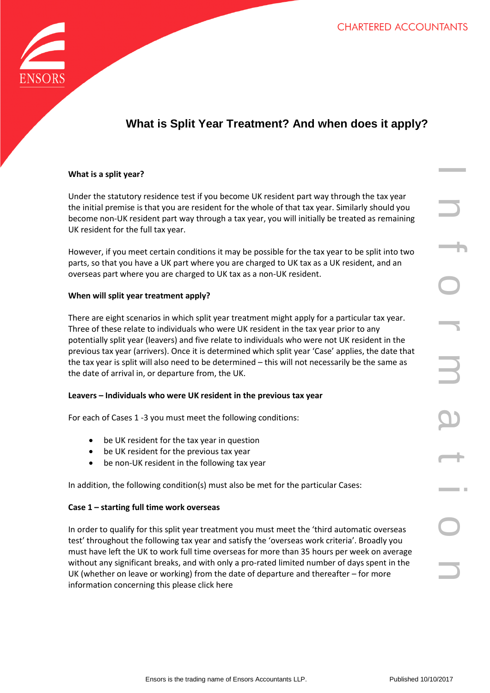

# **What is Split Year Treatment? And when does it apply?**

# **What is a split year?**

Under the statutory residence test if you become UK resident part way through the tax year the initial premise is that you are resident for the whole of that tax year. Similarly should you become non-UK resident part way through a tax year, you will initially be treated as remaining UK resident for the full tax year.

However, if you meet certain conditions it may be possible for the tax year to be split into two parts, so that you have a UK part where you are charged to UK tax as a UK resident, and an overseas part where you are charged to UK tax as a non-UK resident.

#### **When will split year treatment apply?**

esidence test if you become UK resident part way through the tax year<br>
that you are resident for the whole of that tax year. Similarly should you<br>
lift tax year.<br>
If tax year.<br>
If tax year.<br>
Lettian conditions it may be po There are eight scenarios in which split year treatment might apply for a particular tax year. Three of these relate to individuals who were UK resident in the tax year prior to any potentially split year (leavers) and five relate to individuals who were not UK resident in the previous tax year (arrivers). Once it is determined which split year 'Case' applies, the date that the tax year is split will also need to be determined – this will not necessarily be the same as the date of arrival in, or departure from, the UK.

#### **Leavers – Individuals who were UK resident in the previous tax year**

For each of Cases 1 -3 you must meet the following conditions:

- be UK resident for the tax year in question
- be UK resident for the previous tax year
- be non-UK resident in the following tax year

In addition, the following condition(s) must also be met for the particular Cases:

#### **Case 1 – starting full time work overseas**

In order to qualify for this split year treatment you must meet the 'third automatic overseas test' throughout the following tax year and satisfy the 'overseas work criteria'. Broadly you must have left the UK to work full time overseas for more than 35 hours per week on average without any significant breaks, and with only a pro-rated limited number of days spent in the UK (whether on leave or working) from the date of departure and thereafter – for more information concerning this please click here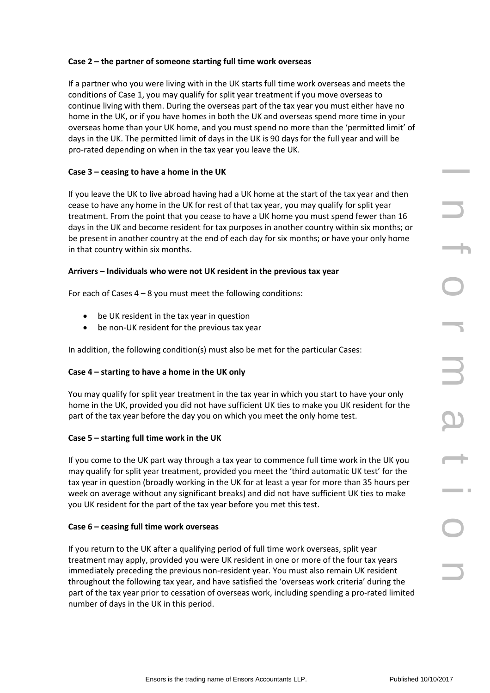# **Case 2 – the partner of someone starting full time work overseas**

If a partner who you were living with in the UK starts full time work overseas and meets the conditions of Case 1, you may qualify for split year treatment if you move overseas to continue living with them. During the overseas part of the tax year you must either have no home in the UK, or if you have homes in both the UK and overseas spend more time in your overseas home than your UK home, and you must spend no more than the 'permitted limit' of days in the UK. The permitted limit of days in the UK is 90 days for the full year and will be pro-rated depending on when in the tax year you leave the UK.

# **Case 3 – ceasing to have a home in the UK**

If you leave the UK to live abroad having had a UK home at the start of the tax year and then cease to have any home in the UK for rest of that tax year, you may qualify for split year treatment. From the point that you cease to have a UK home you must spend fewer than 16 days in the UK and become resident for tax purposes in another country within six months; or be present in another country at the end of each day for six months; or have your only home in that country within six months.

# **Arrivers – Individuals who were not UK resident in the previous tax year**

For each of Cases  $4 - 8$  you must meet the following conditions:

- be UK resident in the tax year in question
- be non-UK resident for the previous tax year

In addition, the following condition(s) must also be met for the particular Cases:

# **Case 4 – starting to have a home in the UK only**

You may qualify for split year treatment in the tax year in which you start to have your only home in the UK, provided you did not have sufficient UK ties to make you UK resident for the part of the tax year before the day you on which you meet the only home test.

# **Case 5 – starting full time work in the UK**

If you come to the UK part way through a tax year to commence full time work in the UK you may qualify for split year treatment, provided you meet the 'third automatic UK test' for the tax year in question (broadly working in the UK for at least a year for more than 35 hours per week on average without any significant breaks) and did not have sufficient UK ties to make you UK resident for the part of the tax year before you met this test.

# **Case 6 – ceasing full time work overseas**

ave a nome in the UK<br>
live advanta having had a UK home at the start of the tax year and then<br>
live advanta having read to have a UK home you must qualify for split year<br>
nonit that you cases to have a UK home you must spe If you return to the UK after a qualifying period of full time work overseas, split year treatment may apply, provided you were UK resident in one or more of the four tax years immediately preceding the previous non-resident year. You must also remain UK resident throughout the following tax year, and have satisfied the 'overseas work criteria' during the part of the tax year prior to cessation of overseas work, including spending a pro-rated limited number of days in the UK in this period.